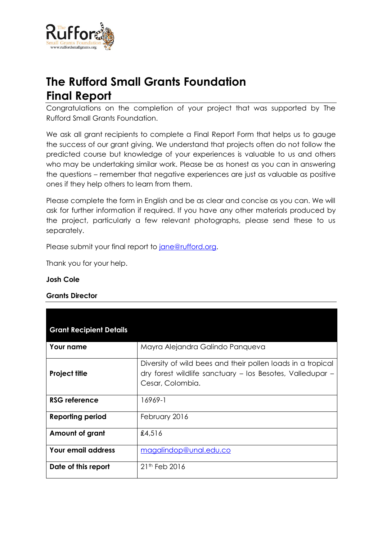

# **The Rufford Small Grants Foundation Final Report**

Congratulations on the completion of your project that was supported by The Rufford Small Grants Foundation.

We ask all grant recipients to complete a Final Report Form that helps us to gauge the success of our grant giving. We understand that projects often do not follow the predicted course but knowledge of your experiences is valuable to us and others who may be undertaking similar work. Please be as honest as you can in answering the questions – remember that negative experiences are just as valuable as positive ones if they help others to learn from them.

Please complete the form in English and be as clear and concise as you can. We will ask for further information if required. If you have any other materials produced by the project, particularly a few relevant photographs, please send these to us separately.

Please submit your final report to [jane@rufford.org.](mailto:jane@rufford.org)

Thank you for your help.

#### **Josh Cole**

**Grants Director**

| <b>Grant Recipient Details</b> |                                                                                                                                              |
|--------------------------------|----------------------------------------------------------------------------------------------------------------------------------------------|
| <b>Your name</b>               | Mayra Alejandra Galindo Panqueva                                                                                                             |
| <b>Project title</b>           | Diversity of wild bees and their pollen loads in a tropical<br>dry forest wildlife sanctuary - los Besotes, Valledupar -<br>Cesar, Colombia. |
| <b>RSG reference</b>           | 16969-1                                                                                                                                      |
| <b>Reporting period</b>        | February 2016                                                                                                                                |
| Amount of grant                | £4,516                                                                                                                                       |
| Your email address             | magalindop@unal.edu.co                                                                                                                       |
| Date of this report            | $21th$ Feb 2016                                                                                                                              |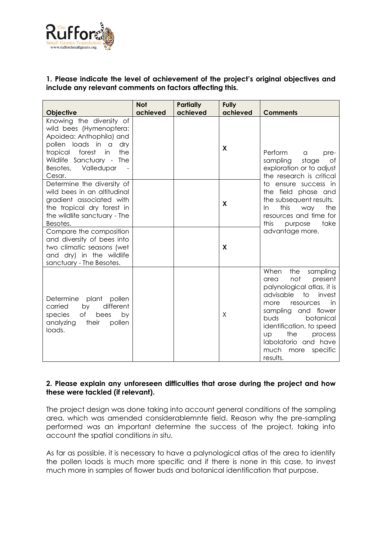

# **1. Please indicate the level of achievement of the project's original objectives and include any relevant comments on factors affecting this.**

|                                                                                                                                                                                                             | <b>Not</b> | <b>Partially</b><br>achieved | Fully    |                                                                                                                                                                                                                                                                                                                   |  |  |
|-------------------------------------------------------------------------------------------------------------------------------------------------------------------------------------------------------------|------------|------------------------------|----------|-------------------------------------------------------------------------------------------------------------------------------------------------------------------------------------------------------------------------------------------------------------------------------------------------------------------|--|--|
| <b>Objective</b>                                                                                                                                                                                            | achieved   |                              | achieved | <b>Comments</b>                                                                                                                                                                                                                                                                                                   |  |  |
| Knowing the diversity of<br>wild bees (Hymenoptera:<br>Apoidea: Anthophila) and<br>pollen loads in a<br>dry<br>the<br>tropical<br>forest<br>in<br>Wildlife Sanctuary - The<br>Besotes, Valledupar<br>Cesar. |            |                              | X        | Perform<br>a<br>pre-<br>sampling<br>stage<br>Оf<br>exploration or to adjust<br>the research is critical                                                                                                                                                                                                           |  |  |
| Determine the diversity of<br>wild bees in an altitudinal<br>gradient associated with<br>the tropical dry forest in<br>the wildlife sanctuary - The<br>Besotes.                                             |            |                              | X        | to ensure success in<br>the field phase and<br>the subsequent results.<br>this<br>the<br>In.<br>way<br>resources and time for<br>this<br>take<br>purpose                                                                                                                                                          |  |  |
| Compare the composition<br>and diversity of bees into<br>two climatic seasons (wet<br>and dry) in the wildlife<br>sanctuary - The Besotes.                                                                  |            |                              | X        | advantage more.                                                                                                                                                                                                                                                                                                   |  |  |
| Determine<br>plant<br>pollen<br>different<br>carried<br>by<br>of<br>by<br>species<br>bees<br>analyzing<br>their<br>pollen<br>loads.                                                                         |            |                              | Χ        | the<br>When<br>sampling<br>not<br>present<br>area<br>palynological atlas, it is<br>advisable<br>to<br>invest<br>in<br>more<br>resources<br>and flower<br>sampling<br>buds<br>botanical<br>identification, to speed<br>the<br><b>UD</b><br>process<br>labolatorio and have<br>much<br>specific<br>more<br>results. |  |  |

## **2. Please explain any unforeseen difficulties that arose during the project and how these were tackled (if relevant).**

The project design was done taking into account general conditions of the sampling area, which was amended considerablemnte field. Reason why the pre-sampling performed was an important determine the success of the project, taking into account the spatial conditions *in situ.*

As far as possible, it is necessary to have a palynological atlas of the area to identify the pollen loads is much more specific and if there is none in this case, to invest much more in samples of flower buds and botanical identification that purpose.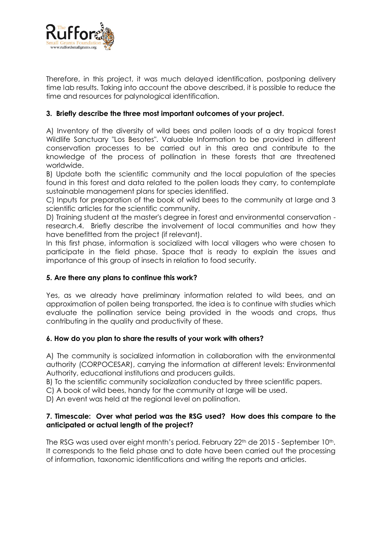

Therefore, in this project, it was much delayed identification, postponing delivery time lab results. Taking into account the above described, it is possible to reduce the time and resources for palynological identification.

# **3. Briefly describe the three most important outcomes of your project.**

A) Inventory of the diversity of wild bees and pollen loads of a dry tropical forest Wildlife Sanctuary "Los Besotes". Valuable Information to be provided in different conservation processes to be carried out in this area and contribute to the knowledge of the process of pollination in these forests that are threatened worldwide.

B) Update both the scientific community and the local population of the species found in this forest and data related to the pollen loads they carry, to contemplate sustainable management plans for species identified.

C) Inputs for preparation of the book of wild bees to the community at large and 3 scientific articles for the scientific community.

D) Training student at the master's degree in forest and environmental conservation research.4. Briefly describe the involvement of local communities and how they have benefitted from the project (if relevant).

In this first phase, information is socialized with local villagers who were chosen to participate in the field phase. Space that is ready to explain the issues and importance of this group of insects in relation to food security.

## **5. Are there any plans to continue this work?**

Yes, as we already have preliminary information related to wild bees, and an approximation of pollen being transported, the idea is to continue with studies which evaluate the pollination service being provided in the woods and crops, thus contributing in the quality and productivity of these.

## **6. How do you plan to share the results of your work with others?**

A) The community is socialized information in collaboration with the environmental authority (CORPOCESAR), carrying the information at different levels: Environmental Authority, educational institutions and producers guilds.

B) To the scientific community socialization conducted by three scientific papers.

C) A book of wild bees, handy for the community at large will be used.

D) An event was held at the regional level on pollination.

#### **7. Timescale: Over what period was the RSG used? How does this compare to the anticipated or actual length of the project?**

The RSG was used over eight month's period. February 22<sup>th</sup> de 2015 - September 10<sup>th</sup>. It corresponds to the field phase and to date have been carried out the processing of information, taxonomic identifications and writing the reports and articles.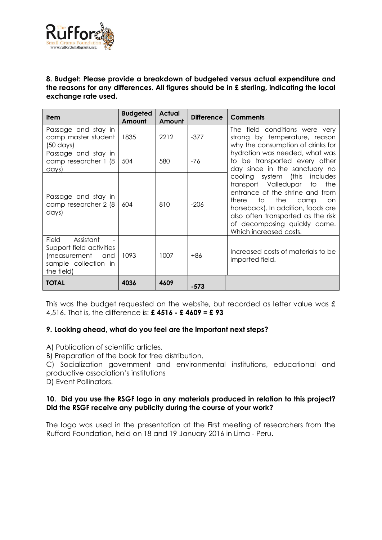

### **8. Budget: Please provide a breakdown of budgeted versus actual expenditure and the reasons for any differences. All figures should be in £ sterling, indicating the local exchange rate used.**

| <b>Item</b>                                                                                           | <b>Budgeted</b><br>Amount | <b>Actual</b><br>Amount | <b>Difference</b> | <b>Comments</b>                                                                                                                                                                                                                                                                     |
|-------------------------------------------------------------------------------------------------------|---------------------------|-------------------------|-------------------|-------------------------------------------------------------------------------------------------------------------------------------------------------------------------------------------------------------------------------------------------------------------------------------|
| Passage and stay in<br>camp master student<br>$(50 \text{ days})$                                     | 1835                      | 2212                    | $-377$            | The field conditions were very<br>strong by temperature, reason<br>why the consumption of drinks for                                                                                                                                                                                |
| Passage and stay in<br>camp researcher 1 (8<br>days)                                                  | 504                       | 580                     | -76               | hydration was needed, what was<br>to be transported every other<br>day since in the sanctuary no                                                                                                                                                                                    |
| Passage and stay in<br>camp researcher 2 (8)<br>days)                                                 | 604                       | 810                     | $-206$            | cooling system (this includes<br>transport Valledupar<br>the<br>to<br>entrance of the shrine and from<br>the<br>to to<br>there<br>camp<br>on.<br>horseback). In addition, foods are<br>also often transported as the risk<br>of decomposing quickly came.<br>Which increased costs. |
| Field Assistant<br>Support field activities<br>(measurement and<br>sample collection in<br>the field) | 1093                      | 1007                    | $+86$             | Increased costs of materials to be<br>imported field.                                                                                                                                                                                                                               |
| <b>TOTAL</b>                                                                                          | 4036                      | 4609                    | $-573$            |                                                                                                                                                                                                                                                                                     |

This was the budget requested on the website, but recorded as letter value was £ 4,516. That is, the difference is: **£ 4516 - £ 4609 = £ 93**

## **9. Looking ahead, what do you feel are the important next steps?**

A) Publication of scientific articles.

B) Preparation of the book for free distribution.

C) Socialization government and environmental institutions, educational and productive association's institutions

D) Event Pollinators.

#### **10. Did you use the RSGF logo in any materials produced in relation to this project? Did the RSGF receive any publicity during the course of your work?**

The logo was used in the presentation at the First meeting of researchers from the Rufford Foundation, held on 18 and 19 January 2016 in Lima - Peru.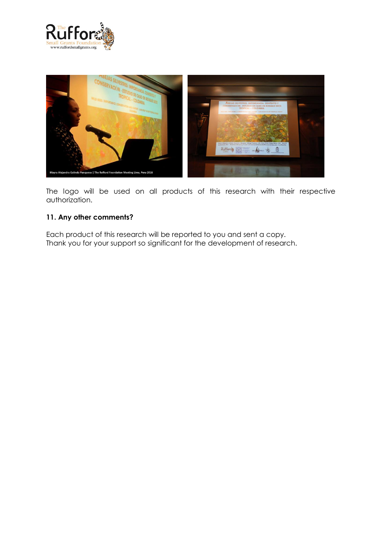



The logo will be used on all products of this research with their respective authorization.

# **11. Any other comments?**

Each product of this research will be reported to you and sent a copy. Thank you for your support so significant for the development of research.